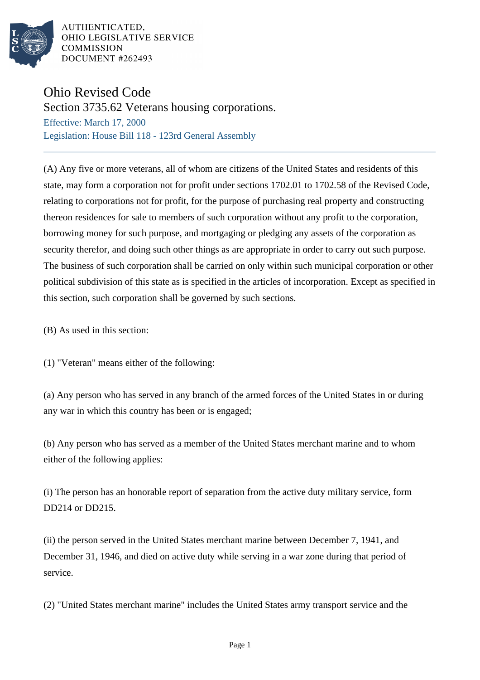

AUTHENTICATED. OHIO LEGISLATIVE SERVICE **COMMISSION** DOCUMENT #262493

## Ohio Revised Code

Section 3735.62 Veterans housing corporations.

Effective: March 17, 2000 Legislation: House Bill 118 - 123rd General Assembly

(A) Any five or more veterans, all of whom are citizens of the United States and residents of this state, may form a corporation not for profit under sections 1702.01 to 1702.58 of the Revised Code, relating to corporations not for profit, for the purpose of purchasing real property and constructing thereon residences for sale to members of such corporation without any profit to the corporation, borrowing money for such purpose, and mortgaging or pledging any assets of the corporation as security therefor, and doing such other things as are appropriate in order to carry out such purpose. The business of such corporation shall be carried on only within such municipal corporation or other political subdivision of this state as is specified in the articles of incorporation. Except as specified in this section, such corporation shall be governed by such sections.

(B) As used in this section:

(1) "Veteran" means either of the following:

(a) Any person who has served in any branch of the armed forces of the United States in or during any war in which this country has been or is engaged;

(b) Any person who has served as a member of the United States merchant marine and to whom either of the following applies:

(i) The person has an honorable report of separation from the active duty military service, form DD214 or DD215.

(ii) the person served in the United States merchant marine between December 7, 1941, and December 31, 1946, and died on active duty while serving in a war zone during that period of service.

(2) "United States merchant marine" includes the United States army transport service and the